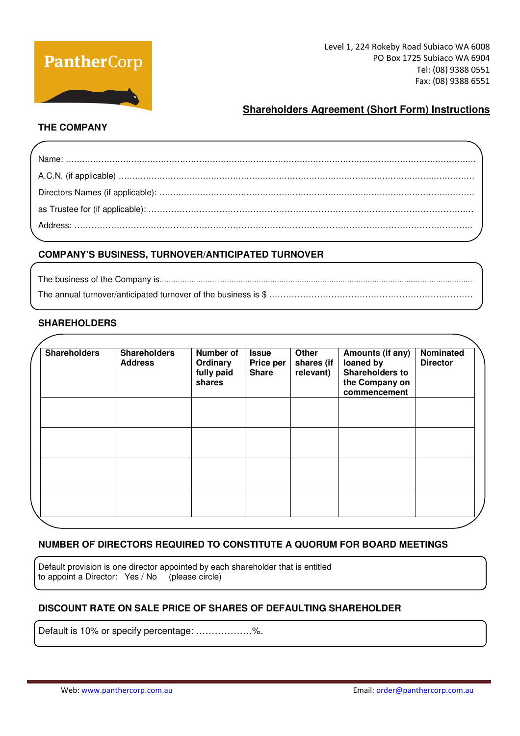

## **Shareholders Agreement (Short Form) Instructions**

## **THE COMPANY**

## **COMPANY'S BUSINESS, TURNOVER/ANTICIPATED TURNOVER**

The business of the Company is……………………. ………………………………………………………………………….....…………………… The annual turnover/anticipated turnover of the business is \$ ………………………………………………

## **SHAREHOLDERS**

| <b>Shareholders</b> | <b>Shareholders</b><br><b>Address</b> | <b>Number of</b><br>Ordinary<br>fully paid<br>shares | <b>Issue</b><br>Price per<br><b>Share</b> | Other<br>shares (if<br>relevant) | Amounts (if any)<br>loaned by<br><b>Shareholders to</b><br>the Company on<br>commencement | Nominated<br><b>Director</b> |
|---------------------|---------------------------------------|------------------------------------------------------|-------------------------------------------|----------------------------------|-------------------------------------------------------------------------------------------|------------------------------|
|                     |                                       |                                                      |                                           |                                  |                                                                                           |                              |
|                     |                                       |                                                      |                                           |                                  |                                                                                           |                              |
|                     |                                       |                                                      |                                           |                                  |                                                                                           |                              |

## **NUMBER OF DIRECTORS REQUIRED TO CONSTITUTE A QUORUM FOR BOARD MEETINGS**

Default provision is one director appointed by each shareholder that is entitled to appoint a Director: Yes / No (please circle)

## **DISCOUNT RATE ON SALE PRICE OF SHARES OF DEFAULTING SHAREHOLDER**

Default is 10% or specify percentage: ………………%.